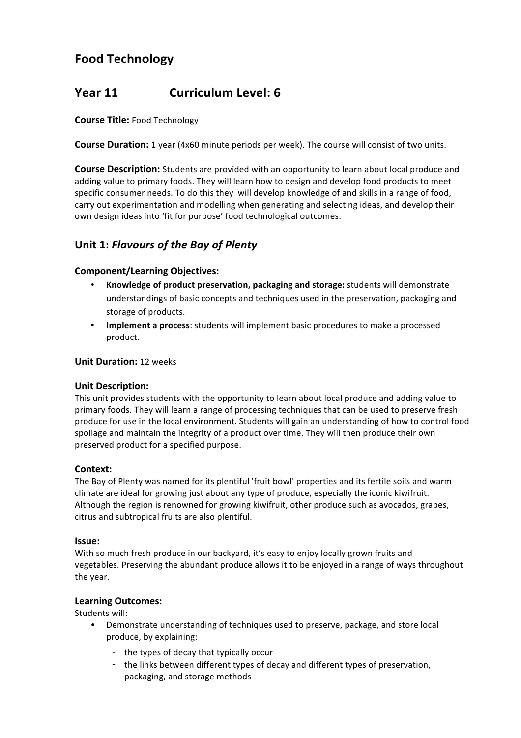# **Food Technology**

# **Year 11 Curriculum Level: 6**

## **Course Title: Food Technology**

**Course Duration:** 1 year (4x60 minute periods per week). The course will consist of two units.

**Course Description:** Students are provided with an opportunity to learn about local produce and adding value to primary foods. They will learn how to design and develop food products to meet specific consumer needs. To do this they will develop knowledge of and skills in a range of food, carry out experimentation and modelling when generating and selecting ideas, and develop their own design ideas into 'fit for purpose' food technological outcomes.

## **Unit\$1:** *Flavours)of)the)Bay)of)Plenty*

## **Component/Learning Objectives:**

- Knowledge of product preservation, packaging and storage: students will demonstrate understandings of basic concepts and techniques used in the preservation, packaging and storage of products.
- **Implement a process**: students will implement basic procedures to make a processed product.

## **Unit Duration: 12 weeks**

## **Unit\$Description:**

This unit provides students with the opportunity to learn about local produce and adding value to primary foods. They will learn a range of processing techniques that can be used to preserve fresh produce for use in the local environment. Students will gain an understanding of how to control food spoilage and maintain the integrity of a product over time. They will then produce their own preserved product for a specified purpose.

## **Context:**

The Bay of Plenty was named for its plentiful 'fruit bowl' properties and its fertile soils and warm climate are ideal for growing just about any type of produce, especially the iconic kiwifruit. Although the region is renowned for growing kiwifruit, other produce such as avocados, grapes, citrus and subtropical fruits are also plentiful.

## **Issue:**

With so much fresh produce in our backyard, it's easy to enjoy locally grown fruits and vegetables. Preserving the abundant produce allows it to be enjoyed in a range of ways throughout the year.

## **Learning\$Outcomes:**

Students will:

- Demonstrate understanding of techniques used to preserve, package, and store local produce, by explaining:
	- the types of decay that typically occur
	- the links between different types of decay and different types of preservation, packaging, and storage methods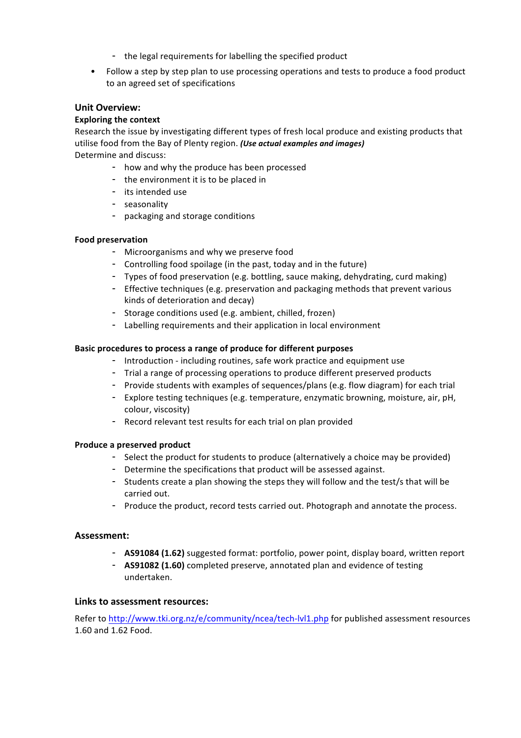- the legal requirements for labelling the specified product
- Follow a step by step plan to use processing operations and tests to produce a food product to an agreed set of specifications

## **Unit Overview:**

## **Exploring the context**

Research the issue by investigating different types of fresh local produce and existing products that utilise food from the Bay of Plenty region. *(Use actual examples and images)* Determine and discuss:

- how and why the produce has been processed
- the environment it is to be placed in
- its intended use
- seasonality
- packaging and storage conditions

## **Food preservation**

- Microorganisms and why we preserve food
- Controlling food spoilage (in the past, today and in the future)
- Types of food preservation (e.g. bottling, sauce making, dehydrating, curd making)
- Effective techniques (e.g. preservation and packaging methods that prevent various kinds of deterioration and decay)
- Storage conditions used (e.g. ambient, chilled, frozen)
- Labelling requirements and their application in local environment

## Basic procedures to process a range of produce for different purposes

- Introduction including routines, safe work practice and equipment use
- Trial a range of processing operations to produce different preserved products
- Provide students with examples of sequences/plans (e.g. flow diagram) for each trial
- Explore testing techniques (e.g. temperature, enzymatic browning, moisture, air, pH, colour, viscosity)
- Record relevant test results for each trial on plan provided

## **Produce a preserved product**

- Select the product for students to produce (alternatively a choice may be provided)
- Determine the specifications that product will be assessed against.
- Students create a plan showing the steps they will follow and the test/s that will be carried out.
- Produce the product, record tests carried out. Photograph and annotate the process.

## **Assessment:**

- **AS91084 (1.62)** suggested format: portfolio, power point, display board, written report
- **AS91082 (1.60)** completed preserve, annotated plan and evidence of testing undertaken.

## **Links to assessment resources:**

Refer to http://www.tki.org.nz/e/community/ncea/tech-lvl1.php for published assessment resources 1.60!and!1.62!Food.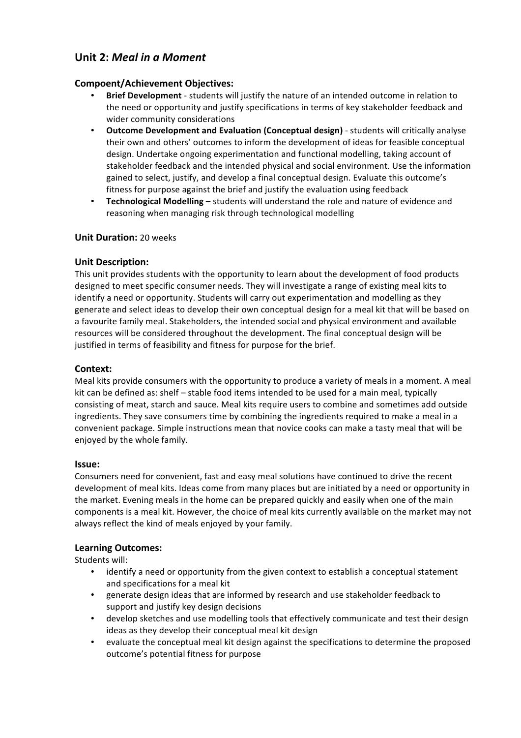## **Unit\$2:** *Meal)in)a)Moment*

## **Compoent/Achievement\$Objectives:**

- **Brief Development** students will justify the nature of an intended outcome in relation to the need or opportunity and justify specifications in terms of key stakeholder feedback and wider community considerations
- **Outcome Development and Evaluation (Conceptual design)** students will critically analyse their own and others' outcomes to inform the development of ideas for feasible conceptual design. Undertake ongoing experimentation and functional modelling, taking account of stakeholder feedback and the intended physical and social environment. Use the information gained to select, justify, and develop a final conceptual design. Evaluate this outcome's fitness for purpose against the brief and justify the evaluation using feedback
- **Technological Modelling** students will understand the role and nature of evidence and reasoning when managing risk through technological modelling

## **Unit Duration: 20 weeks**

## **Unit\$Description:**

This unit provides students with the opportunity to learn about the development of food products designed to meet specific consumer needs. They will investigate a range of existing meal kits to identify a need or opportunity. Students will carry out experimentation and modelling as they generate and select ideas to develop their own conceptual design for a meal kit that will be based on a favourite family meal. Stakeholders, the intended social and physical environment and available resources will be considered throughout the development. The final conceptual design will be justified in terms of feasibility and fitness for purpose for the brief.

## **Context:\$**

Meal kits provide consumers with the opportunity to produce a variety of meals in a moment. A meal kit can be defined as: shelf – stable food items intended to be used for a main meal, typically consisting of meat, starch and sauce. Meal kits require users to combine and sometimes add outside ingredients. They save consumers time by combining the ingredients required to make a meal in a convenient package. Simple instructions mean that novice cooks can make a tasty meal that will be enjoyed by the whole family.

## **Issue:\$**

Consumers need for convenient, fast and easy meal solutions have continued to drive the recent development of meal kits. Ideas come from many places but are initiated by a need or opportunity in the market. Evening meals in the home can be prepared quickly and easily when one of the main components is a meal kit. However, the choice of meal kits currently available on the market may not always reflect the kind of meals enjoyed by your family.

## **Learning\$Outcomes:**

Students will:

- identify a need or opportunity from the given context to establish a conceptual statement and specifications for a meal kit
- generate design ideas that are informed by research and use stakeholder feedback to support and justify key design decisions
- develop sketches and use modelling tools that effectively communicate and test their design ideas as they develop their conceptual meal kit design
- evaluate the conceptual meal kit design against the specifications to determine the proposed outcome's potential fitness for purpose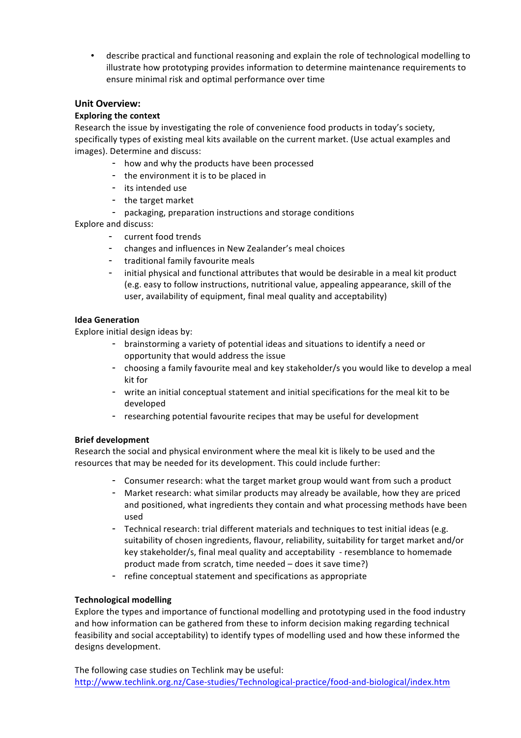• describe practical and functional reasoning and explain the role of technological modelling to illustrate how prototyping provides information to determine maintenance requirements to ensure minimal risk and optimal performance over time

## **Unit Overview:**

## **Exploring the context**

Research the issue by investigating the role of convenience food products in today's society, specifically types of existing meal kits available on the current market. (Use actual examples and images). Determine and discuss:

- how and why the products have been processed
- the environment it is to be placed in
- its intended use
- the target market
- packaging, preparation instructions and storage conditions

Explore and discuss:

- current food trends
- changes and influences in New Zealander's meal choices
- traditional family favourite meals
- initial physical and functional attributes that would be desirable in a meal kit product (e.g. easy to follow instructions, nutritional value, appealing appearance, skill of the user, availability of equipment, final meal quality and acceptability)

## **Idea Generation**

Explore initial design ideas by:

- brainstorming a variety of potential ideas and situations to identify a need or opportunity that would address the issue
- choosing a family favourite meal and key stakeholder/s you would like to develop a meal kit for
- write an initial conceptual statement and initial specifications for the meal kit to be developed
- researching potential favourite recipes that may be useful for development

## **Brief development**

Research the social and physical environment where the meal kit is likely to be used and the resources that may be needed for its development. This could include further:

- Consumer research: what the target market group would want from such a product
- Market research: what similar products may already be available, how they are priced and positioned, what ingredients they contain and what processing methods have been used
- Technical research: trial different materials and techniques to test initial ideas (e.g. suitability of chosen ingredients, flavour, reliability, suitability for target market and/or key stakeholder/s, final meal quality and acceptability - resemblance to homemade product made from scratch, time needed – does it save time?)
- refine conceptual statement and specifications as appropriate

## **Technological modelling**

Explore the types and importance of functional modelling and prototyping used in the food industry and how information can be gathered from these to inform decision making regarding technical feasibility and social acceptability) to identify types of modelling used and how these informed the designs development.

The following case studies on Techlink may be useful: http://www.techlink.org.nz/Case-studies/Technological-practice/food-and-biological/index.htm